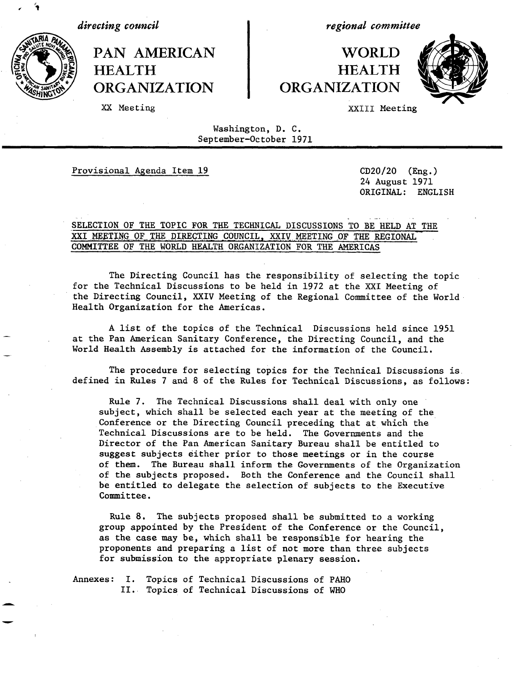*directing council*

PAN AMERICAN I WORLD HEALTH HEALTH<br>
ORGANIZATION ORGANIZATION **ORGANIZATION** 

*regional committee*



XX Meeting XXIII Meeting

Washington, D. C. September-October 1971

Provisional Agenda Item 19 CD20/20 (Eng.)

24 August 1971 ORIGINAL: ENGLISH

# SELECTION OF THE TOPIC FOR THE TECHNICAL DISCUSSIONS TO BE HELD AT THE XXI MEETING OF THE DIRECTING COUNCIL, XXIV MEETING OF THE REGIONAL COMMITTEE OF THE WORLD HEALTH ORGANIZATION FOR THE AMERICAS

The Directing Council has the responsibility of selecting the topic for the Technical Discussions to be held in 1972 at the XXI Meeting of the Directing Council, XXIV Meeting of the Regional Committee of the World Health Organization for the Americas.

A list of the topics of the Technical Discussions held since 1951 at the Pan American Sanitary Conference, the Directing Council, and the World Health Assembly is attached for the information of the Council.

The procedure for selecting topics for the Technical Discussions is defined in Rules 7 and 8 of the Rules for Technical Discussions, as follows:

Rule 7. The Technical Discussions shall deal with only one subject, which shall be selected each year at the meeting of the Conference or the Directing Council preceding that at which the Technical Discussions are to be held. The Governments and the Director of the Pan American Sanitary Bureau shall be entitled to suggest subjects either prior to those meetings or in the course of them. The Bureau shall inform the Governments of the Organization of the subjects proposed. Both the Conference and the Council shall be entitled to delegate the selection of subjects to the Executive Committee.

Rule 8. The subjects proposed shall be submitted to a working group appointed by the President of the Conference or the Council, as the case may be, which shall be responsible for hearing the proponents and preparing a list of not more than three subjects for submission to the appropriate plenary session.

Annexes: I. Topics of Technical Discussions of PAHO II. Topics of Technical Discussions of WHO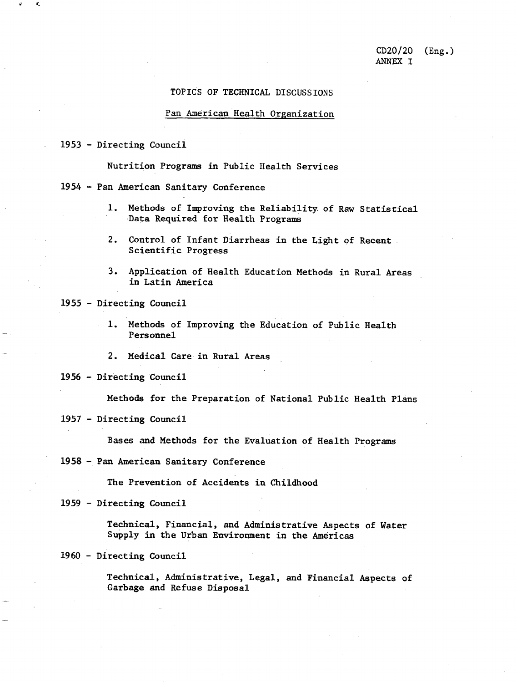## TOPICS OF TECHNICAL DISCUSSIONS

#### Pan American Health Organization

1953 - Directing Council

 $\tilde{v}$  a

Nutrition Programs in Public Health Services

1954 - Pan American Sanitary Conference

- 1. Methods of Improving the Reliability of Raw Statistical Data Required for Health Programs
- 2. Control of Infant Diarrheas in the Light of Recent Scientific Progress
- 3. Application of Health Education Methods in Rural Areas in Latin America

1955 - Directing Council

- 1. Methods of Improving the Education of Public Health Personnel
- 2. Medical Care in Rural Areas

1956 - Directing Council

Methods for the Preparation of National Public Health Plans

1957 - Directing Council

Bases and Methods for the Evaluation of Health Programs

1958 - Pan American Sanitary Conference

The Prevention of Accidents in Childhood

1959 - Directing Council

Technical, Financial, and Administrative Aspects of Water Supply in the Urban Environment in the Americas

#### 1960 - Directing Council

Technical, Administrative, Legal, and Financial Aspects of Garbage and Refuse Disposal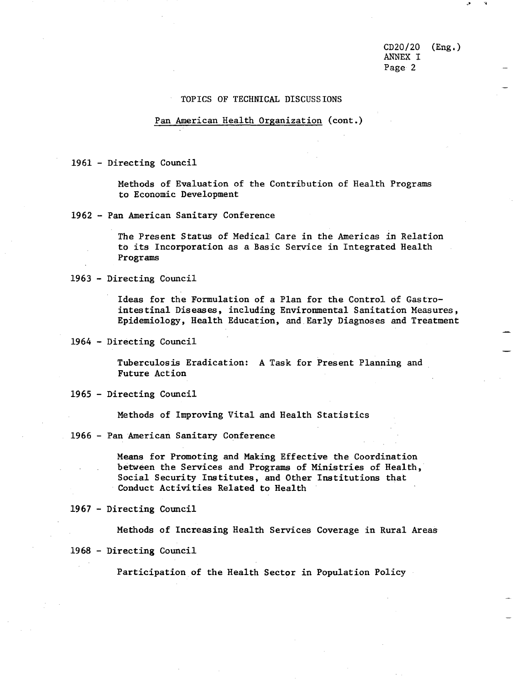CD20/20 (Eng.) ANNEX I Page 2

### TOPICS OF TECHNICAL DISCUSSIONS

### Pan American Health Organization (cont.)

1961 - Directing Council

Methods of Evaluation of the Contribution of Health Programs to Economic Development

1962 - Pan American Sanitary Conference

The Present Status of Medical Care in the Americas in Relation to its Incorporation as a Basic Service in Integrated Health Programs

1963 - Directing Council

Ideas for the Formulation of a Plan for the Control of Gastrointestinal Diseases, including Environmental Sanitation Measures, Epidemiology, Health Education, and Early Diagnoses and Treatment

1964 - Directing Council

Tuberculosis Eradication: A Task for Present Planning and Future Action

1965 - Directing Council

Methods of Improving Vital and Health Statistics

1966 - Pan American Sanitary Conference

Means for Promoting and Making Effective the Coordination between the Services and Programs of Ministries of Health, Social Security Institutes, and Other Institutions that Conduct Activities Related to Health

1967 - Directing Council

Methods of Increasing Health Services Coverage in Rural Areas

<sup>1968</sup>- Directing Council

Participation of the Health Sector in Population Policy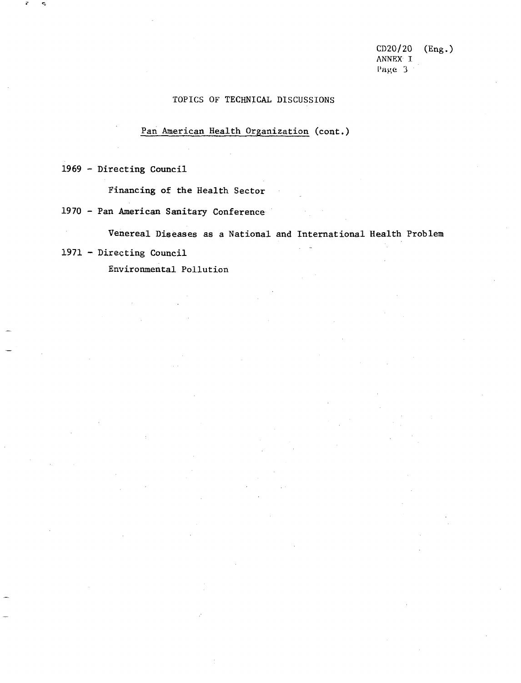CD20/20 (Eng.) ANNEX T Page 3<sup>-1</sup>

# TOPICS OF TECHNICAL DISCUSSIONS

# Pan American Health Organization (cont.)

1969 - Directing Council

Financing of the Health Sector

1970 - Pan American Sanitary Conference

Venereal Diseases as a National and International Health Problem

 $\sim 10^{11}$  km

# 1971 - Directing Council

 $\mathcal{A}^{\pm}$ 

Environmental Pollution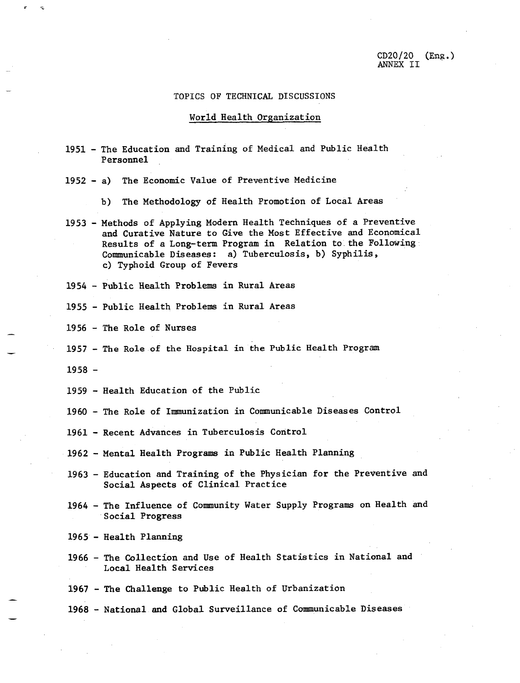# TOPICS OF TECHNICAL DISCUSSIONS

#### World Health Organization

- 1951 The Education and Training of Medical and Public Health Personnel
- 1952 a) The Economic Value of Preventive Medicine
	- b) The Methodology of Health Promotion of Local Areas
- 1953 Methods of Applying Modern Health Techniques of a Preventive and Curative Nature to Give the Most Effective and Economical Results of a Long-term Program in Relation to the Following Communicable Diseases: a) Tuberculosis, b) Syphilis, c) Typhoid Group of Fevers
- 1954 Public Health Problems in Rural Areas
- 1955 Public Health Problems in Rural Areas
- 1956 The Role of Nurses
- 1957 The Role of the Hospital in the Public Health Program
- 1958 -
- 1959 Health Education of the Public
- 1960 The Role of Immunization in Communicable Diseases Control
- 1961 Recent Advances in Tuberculosis Control
- 1962 Mental Health Programs in Public Health Planning
- 1963 Education and Training of the Physician for the Preventive and Social Aspects of Clinical Practice
- 1964 The Influence of Community Water Supply Programs on Health and Social Progress
- 1965 Health Planning
- 1966 The Collection and Use of Health Statistics in National and Local Health Services

1967 - The Challenge to Public Health of Urbanization

1968 - National and Global Surveillance of Communicable Diseases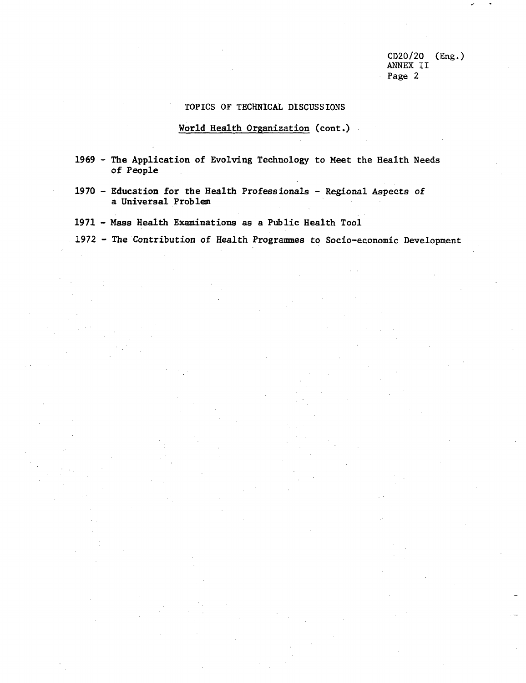CD20/20 (Eng.) ANNEX II Page 2

# TOPICS OF TECHNICAL DISCUSSIONS

# World Health Organization (cont.)

- 1969 The Application of Evolving Technology to Meet the Health Needs of People
- 1970 Education for the Health Professionals Regional Aspects of a Universal Problem
- 1971 Mass Health Examinations as a Public Health Tool
- 1972 The Contribution of Health Programmes to Socio-economic Development